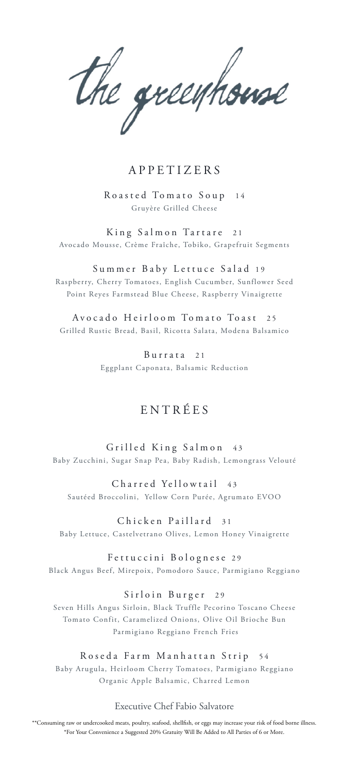the greenhouse

## APPETIZERS

Roasted Tomato Soup 14 Gruyère Grilled Cheese

King Salmon Tartare 2 1 Avocado Mousse, Crème Fraîche, Tobiko, Grapefruit Segments

Summer Baby Lettuce Salad 19 Raspberry, Cherry Tomatoes, English Cucumber, Sunflower Seed Point Reyes Farmstead Blue Cheese, Raspberry Vinaigrette

Avocado Heirloom Tomato Toast 25 Grilled Rustic Bread, Basil, Ricotta Salata, Modena Balsamico

> Burrata<sub>21</sub> Eggplant Caponata, Balsamic Reduction

## ENTRÉES

Grilled King Salmon 43 Baby Zucchini, Sugar Snap Pea, Baby Radish, Lemongrass Velouté

Charred Yellowtail 43 Sautéed Broccolini, Yellow Corn Purée, Agrumato EVOO

Chicken Paillard 31 Baby Lettuce, Castelvetrano Olives, Lemon Honey Vinaigrette

Fettuccini Bolognese 29 Black Angus Beef, Mirepoix, Pomodoro Sauce, Parmigiano Reggiano

Sirloin Burger 29 Seven Hills Angus Sirloin, Black Truffle Pecorino Toscano Cheese Tomato Confit, Caramelized Onions, Olive Oil Brioche Bun

Roseda Farm Manhattan Strip 54 Baby Arugula, Heirloom Cherry Tomatoes, Parmigiano Reggiano Organic Apple Balsamic, Charred Lemon

Parmigiano Reggiano French Fries

Executive Chef Fabio Salvatore

\*\*Consuming raw or undercooked meats, poultry, seafood, shellfish, or eggs may increase your risk of food borne illness. \*For Your Convenience a Suggested 20% Gratuity Will Be Added to All Parties of 6 or More.